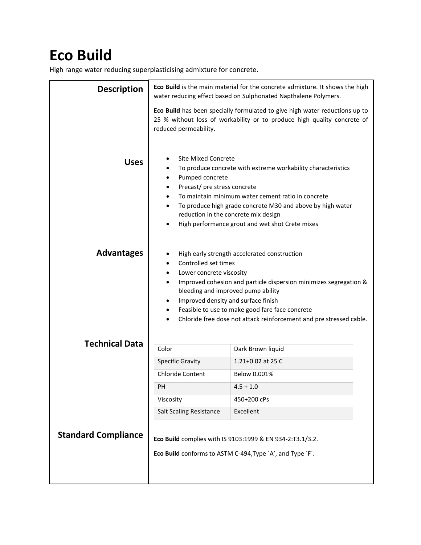## **Eco Build**

High range water reducing superplasticising admixture for concrete.

| <b>Description</b>         | Eco Build is the main material for the concrete admixture. It shows the high<br>water reducing effect based on Sulphonated Napthalene Polymers.                                                                                                                                                                                                                                                             |                                                                                                                                                                                                                                     |
|----------------------------|-------------------------------------------------------------------------------------------------------------------------------------------------------------------------------------------------------------------------------------------------------------------------------------------------------------------------------------------------------------------------------------------------------------|-------------------------------------------------------------------------------------------------------------------------------------------------------------------------------------------------------------------------------------|
|                            | reduced permeability.                                                                                                                                                                                                                                                                                                                                                                                       | Eco Build has been specially formulated to give high water reductions up to<br>25 % without loss of workability or to produce high quality concrete of                                                                              |
| <b>Uses</b>                | <b>Site Mixed Concrete</b><br>Pumped concrete<br>٠<br>Precast/ pre stress concrete<br>٠<br>$\bullet$<br>$\bullet$<br>reduction in the concrete mix design<br>٠                                                                                                                                                                                                                                              | To produce concrete with extreme workability characteristics<br>To maintain minimum water cement ratio in concrete<br>To produce high grade concrete M30 and above by high water<br>High performance grout and wet shot Crete mixes |
| <b>Advantages</b>          | High early strength accelerated construction<br>Controlled set times<br>$\bullet$<br>Lower concrete viscosity<br>٠<br>Improved cohesion and particle dispersion minimizes segregation &<br>$\bullet$<br>bleeding and improved pump ability<br>Improved density and surface finish<br>Feasible to use to make good fare face concrete<br>Chloride free dose not attack reinforcement and pre stressed cable. |                                                                                                                                                                                                                                     |
| <b>Technical Data</b>      | Color                                                                                                                                                                                                                                                                                                                                                                                                       | Dark Brown liquid                                                                                                                                                                                                                   |
|                            | <b>Specific Gravity</b>                                                                                                                                                                                                                                                                                                                                                                                     | 1.21+0.02 at 25 C                                                                                                                                                                                                                   |
|                            | <b>Chloride Content</b>                                                                                                                                                                                                                                                                                                                                                                                     | Below 0.001%                                                                                                                                                                                                                        |
|                            | PН                                                                                                                                                                                                                                                                                                                                                                                                          | $4.5 + 1.0$                                                                                                                                                                                                                         |
|                            | Viscosity                                                                                                                                                                                                                                                                                                                                                                                                   | 450+200 cPs                                                                                                                                                                                                                         |
|                            | <b>Salt Scaling Resistance</b>                                                                                                                                                                                                                                                                                                                                                                              | Excellent                                                                                                                                                                                                                           |
| <b>Standard Compliance</b> | Eco Build complies with IS 9103:1999 & EN 934-2:T3.1/3.2.<br>Eco Build conforms to ASTM C-494, Type `A', and Type `F`.                                                                                                                                                                                                                                                                                      |                                                                                                                                                                                                                                     |